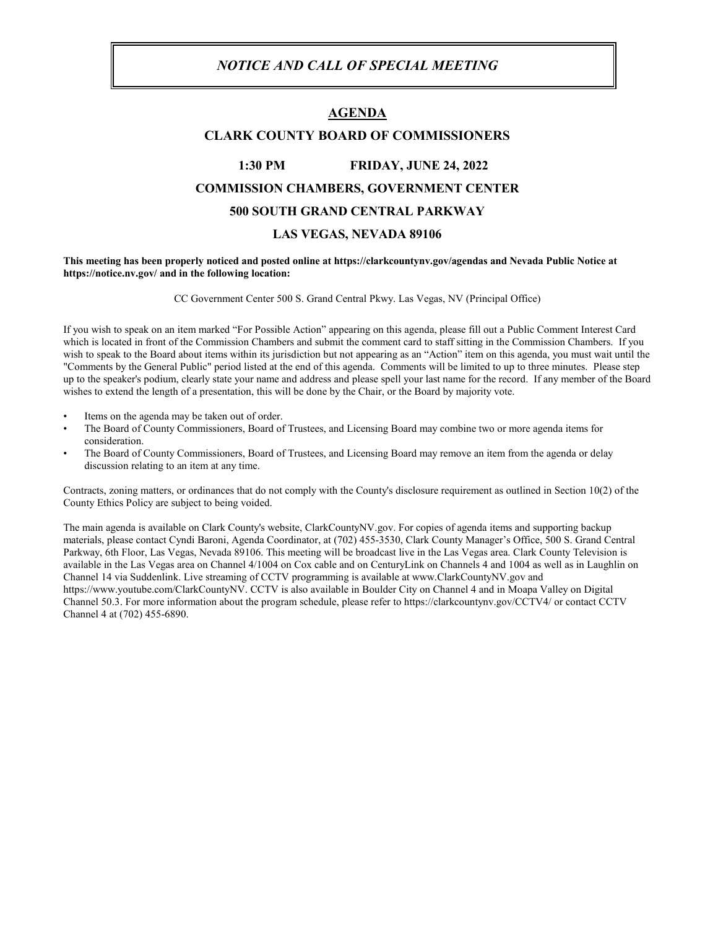#### *NOTICE AND CALL OF SPECIAL MEETING*

#### **AGENDA**

#### **CLARK COUNTY BOARD OF COMMISSIONERS**

# **1:30 PM FRIDAY, JUNE 24, 2022 COMMISSION CHAMBERS, GOVERNMENT CENTER 500 SOUTH GRAND CENTRAL PARKWAY LAS VEGAS, NEVADA 89106**

#### **This meeting has been properly noticed and posted online at https://clarkcountynv.gov/agendas and Nevada Public Notice at https://notice.nv.gov/ and in the following location:**

CC Government Center 500 S. Grand Central Pkwy. Las Vegas, NV (Principal Office)

If you wish to speak on an item marked "For Possible Action" appearing on this agenda, please fill out a Public Comment Interest Card which is located in front of the Commission Chambers and submit the comment card to staff sitting in the Commission Chambers. If you wish to speak to the Board about items within its jurisdiction but not appearing as an "Action" item on this agenda, you must wait until the "Comments by the General Public" period listed at the end of this agenda. Comments will be limited to up to three minutes. Please step up to the speaker's podium, clearly state your name and address and please spell your last name for the record. If any member of the Board wishes to extend the length of a presentation, this will be done by the Chair, or the Board by majority vote.

- Items on the agenda may be taken out of order.
- The Board of County Commissioners, Board of Trustees, and Licensing Board may combine two or more agenda items for consideration.
- The Board of County Commissioners, Board of Trustees, and Licensing Board may remove an item from the agenda or delay discussion relating to an item at any time.

Contracts, zoning matters, or ordinances that do not comply with the County's disclosure requirement as outlined in Section 10(2) of the County Ethics Policy are subject to being voided.

The main agenda is available on Clark County's website, ClarkCountyNV.gov. For copies of agenda items and supporting backup materials, please contact Cyndi Baroni, Agenda Coordinator, at (702) 455-3530, Clark County Manager's Office, 500 S. Grand Central Parkway, 6th Floor, Las Vegas, Nevada 89106. This meeting will be broadcast live in the Las Vegas area. Clark County Television is available in the Las Vegas area on Channel 4/1004 on Cox cable and on CenturyLink on Channels 4 and 1004 as well as in Laughlin on Channel 14 via Suddenlink. Live streaming of CCTV programming is available at www.ClarkCountyNV.gov and https://www.youtube.com/ClarkCountyNV. CCTV is also available in Boulder City on Channel 4 and in Moapa Valley on Digital Channel 50.3. For more information about the program schedule, please refer to https://clarkcountynv.gov/CCTV4/ or contact CCTV Channel 4 at (702) 455-6890.